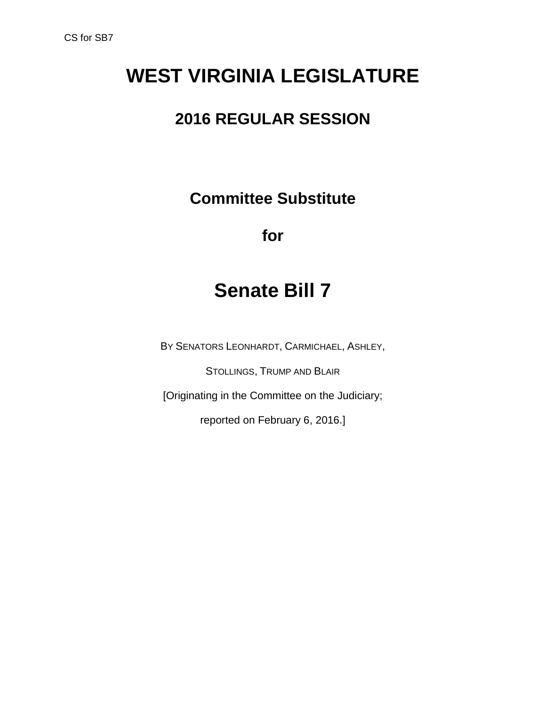# **WEST VIRGINIA LEGISLATURE**

### **2016 REGULAR SESSION**

**Committee Substitute**

**for**

# **Senate Bill 7**

BY SENATORS LEONHARDT, CARMICHAEL, ASHLEY,

STOLLINGS, TRUMP AND BLAIR

[Originating in the Committee on the Judiciary;

reported on February 6, 2016.]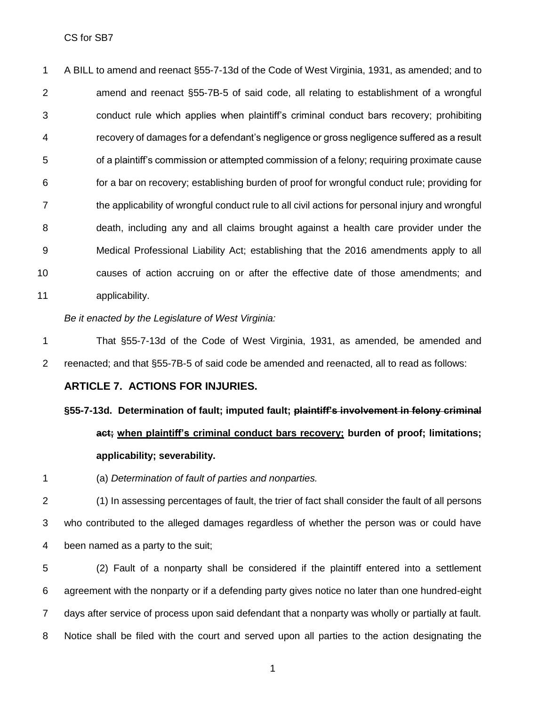A BILL to amend and reenact §55-7-13d of the Code of West Virginia, 1931, as amended; and to amend and reenact §55-7B-5 of said code, all relating to establishment of a wrongful conduct rule which applies when plaintiff's criminal conduct bars recovery; prohibiting recovery of damages for a defendant's negligence or gross negligence suffered as a result of a plaintiff's commission or attempted commission of a felony; requiring proximate cause for a bar on recovery; establishing burden of proof for wrongful conduct rule; providing for the applicability of wrongful conduct rule to all civil actions for personal injury and wrongful death, including any and all claims brought against a health care provider under the Medical Professional Liability Act; establishing that the 2016 amendments apply to all causes of action accruing on or after the effective date of those amendments; and applicability.

#### *Be it enacted by the Legislature of West Virginia:*

 That §55-7-13d of the Code of West Virginia, 1931, as amended, be amended and reenacted; and that §55-7B-5 of said code be amended and reenacted, all to read as follows:

#### **ARTICLE 7. ACTIONS FOR INJURIES.**

### **§55-7-13d. Determination of fault; imputed fault; plaintiff's involvement in felony criminal act; when plaintiff's criminal conduct bars recovery; burden of proof; limitations; applicability; severability.**

(a) *Determination of fault of parties and nonparties.*

 (1) In assessing percentages of fault, the trier of fact shall consider the fault of all persons who contributed to the alleged damages regardless of whether the person was or could have been named as a party to the suit;

 (2) Fault of a nonparty shall be considered if the plaintiff entered into a settlement agreement with the nonparty or if a defending party gives notice no later than one hundred-eight days after service of process upon said defendant that a nonparty was wholly or partially at fault. Notice shall be filed with the court and served upon all parties to the action designating the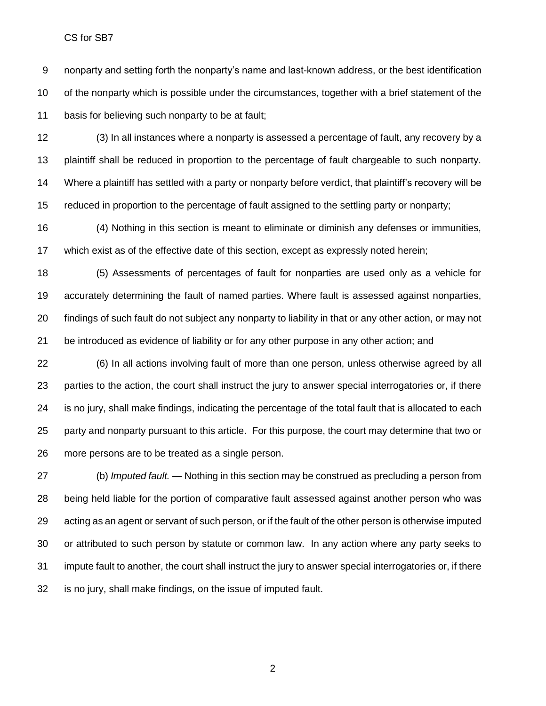CS for SB7

 nonparty and setting forth the nonparty's name and last-known address, or the best identification 10 of the nonparty which is possible under the circumstances, together with a brief statement of the basis for believing such nonparty to be at fault;

 (3) In all instances where a nonparty is assessed a percentage of fault, any recovery by a plaintiff shall be reduced in proportion to the percentage of fault chargeable to such nonparty. Where a plaintiff has settled with a party or nonparty before verdict, that plaintiff's recovery will be reduced in proportion to the percentage of fault assigned to the settling party or nonparty;

 (4) Nothing in this section is meant to eliminate or diminish any defenses or immunities, which exist as of the effective date of this section, except as expressly noted herein;

 (5) Assessments of percentages of fault for nonparties are used only as a vehicle for accurately determining the fault of named parties. Where fault is assessed against nonparties, findings of such fault do not subject any nonparty to liability in that or any other action, or may not be introduced as evidence of liability or for any other purpose in any other action; and

 (6) In all actions involving fault of more than one person, unless otherwise agreed by all parties to the action, the court shall instruct the jury to answer special interrogatories or, if there is no jury, shall make findings, indicating the percentage of the total fault that is allocated to each party and nonparty pursuant to this article. For this purpose, the court may determine that two or more persons are to be treated as a single person.

 (b) *Imputed fault.* — Nothing in this section may be construed as precluding a person from being held liable for the portion of comparative fault assessed against another person who was acting as an agent or servant of such person, or if the fault of the other person is otherwise imputed or attributed to such person by statute or common law. In any action where any party seeks to impute fault to another, the court shall instruct the jury to answer special interrogatories or, if there is no jury, shall make findings, on the issue of imputed fault.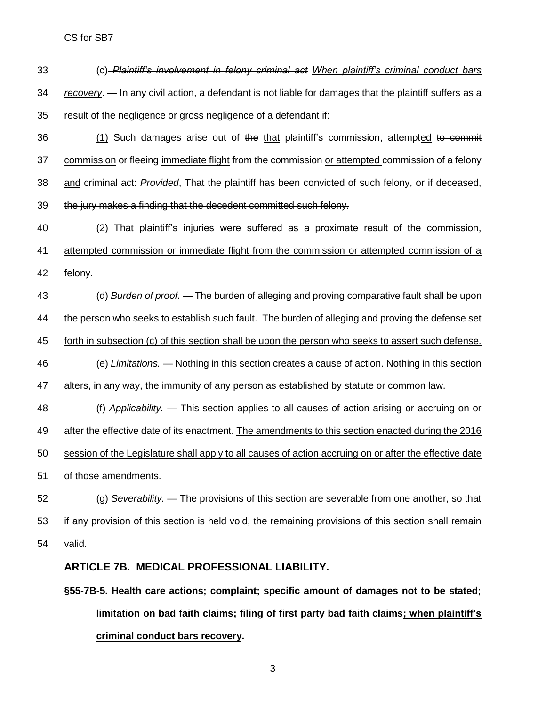- (c) *Plaintiff's involvement in felony criminal act When plaintiff's criminal conduct bars recovery*. — In any civil action, a defendant is not liable for damages that the plaintiff suffers as a result of the negligence or gross negligence of a defendant if:
- 36 (1) Such damages arise out of the that plaintiff's commission, attempted to commit 37 commission or fleeing immediate flight from the commission or attempted commission of a felony and criminal act: *Provided*, That the plaintiff has been convicted of such felony, or if deceased, the jury makes a finding that the decedent committed such felony.
- (2) That plaintiff's injuries were suffered as a proximate result of the commission, attempted commission or immediate flight from the commission or attempted commission of a
- felony.
- (d) *Burden of proof. —* The burden of alleging and proving comparative fault shall be upon 44 the person who seeks to establish such fault. The burden of alleging and proving the defense set forth in subsection (c) of this section shall be upon the person who seeks to assert such defense. (e) *Limitations. —* Nothing in this section creates a cause of action. Nothing in this section alters, in any way, the immunity of any person as established by statute or common law.
- (f) *Applicability. —* This section applies to all causes of action arising or accruing on or 49 after the effective date of its enactment. The amendments to this section enacted during the 2016 session of the Legislature shall apply to all causes of action accruing on or after the effective date of those amendments.
- (g) *Severability. —* The provisions of this section are severable from one another, so that if any provision of this section is held void, the remaining provisions of this section shall remain valid.

#### **ARTICLE 7B. MEDICAL PROFESSIONAL LIABILITY.**

**§55-7B-5. Health care actions; complaint; specific amount of damages not to be stated; limitation on bad faith claims; filing of first party bad faith claims; when plaintiff's criminal conduct bars recovery.**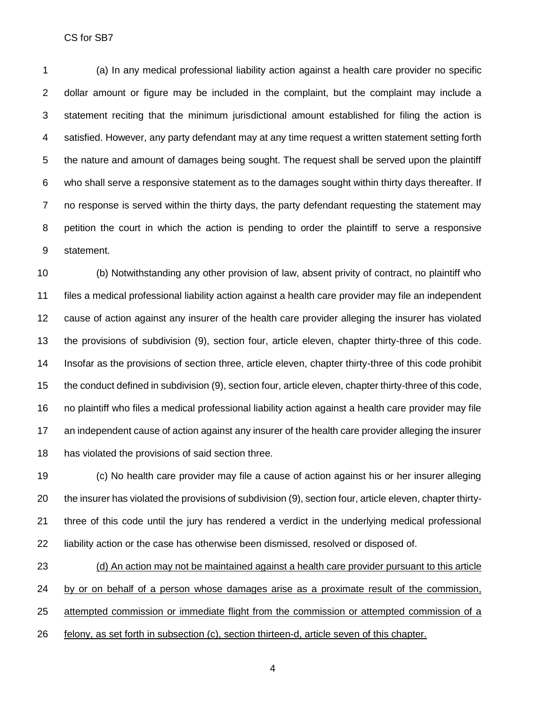CS for SB7

 (a) In any medical professional liability action against a health care provider no specific dollar amount or figure may be included in the complaint, but the complaint may include a statement reciting that the minimum jurisdictional amount established for filing the action is satisfied. However, any party defendant may at any time request a written statement setting forth the nature and amount of damages being sought. The request shall be served upon the plaintiff who shall serve a responsive statement as to the damages sought within thirty days thereafter. If no response is served within the thirty days, the party defendant requesting the statement may petition the court in which the action is pending to order the plaintiff to serve a responsive statement.

 (b) Notwithstanding any other provision of law, absent privity of contract, no plaintiff who files a medical professional liability action against a health care provider may file an independent cause of action against any insurer of the health care provider alleging the insurer has violated the provisions of subdivision (9), section four, article eleven, chapter thirty-three of this code. Insofar as the provisions of section three, article eleven, chapter thirty-three of this code prohibit the conduct defined in subdivision (9), section four, article eleven, chapter thirty-three of this code, no plaintiff who files a medical professional liability action against a health care provider may file an independent cause of action against any insurer of the health care provider alleging the insurer has violated the provisions of said section three.

 (c) No health care provider may file a cause of action against his or her insurer alleging the insurer has violated the provisions of subdivision (9), section four, article eleven, chapter thirty- three of this code until the jury has rendered a verdict in the underlying medical professional liability action or the case has otherwise been dismissed, resolved or disposed of.

 (d) An action may not be maintained against a health care provider pursuant to this article by or on behalf of a person whose damages arise as a proximate result of the commission, attempted commission or immediate flight from the commission or attempted commission of a felony, as set forth in subsection (c), section thirteen-d, article seven of this chapter.